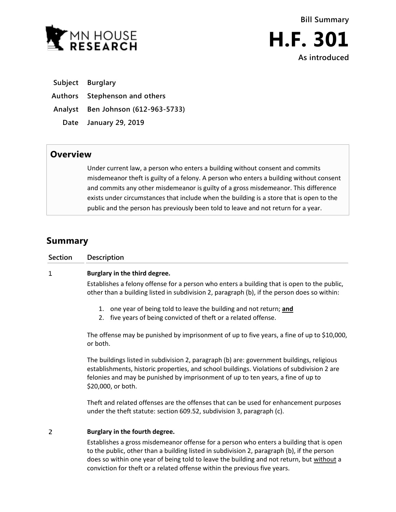



**Subject Burglary**

**Authors Stephenson and others**

**Analyst Ben Johnson (612-963-5733)**

**Date January 29, 2019**

## **Overview**

Under current law, a person who enters a building without consent and commits misdemeanor theft is guilty of a felony. A person who enters a building without consent and commits any other misdemeanor is guilty of a gross misdemeanor. This difference exists under circumstances that include when the building is a store that is open to the public and the person has previously been told to leave and not return for a year.

## **Summary**

| Section | Description                   |
|---------|-------------------------------|
| ┸       | Burglary in the third degree. |

Establishes a felony offense for a person who enters a building that is open to the public, other than a building listed in subdivision 2, paragraph (b), if the person does so within:

- 1. one year of being told to leave the building and not return; **and**
- 2. five years of being convicted of theft or a related offense.

The offense may be punished by imprisonment of up to five years, a fine of up to \$10,000, or both.

The buildings listed in subdivision 2, paragraph (b) are: government buildings, religious establishments, historic properties, and school buildings. Violations of subdivision 2 are felonies and may be punished by imprisonment of up to ten years, a fine of up to \$20,000, or both.

Theft and related offenses are the offenses that can be used for enhancement purposes under the theft statute: section 609.52, subdivision 3, paragraph (c).

## $\overline{2}$ **Burglary in the fourth degree.**

Establishes a gross misdemeanor offense for a person who enters a building that is open to the public, other than a building listed in subdivision 2, paragraph (b), if the person does so within one year of being told to leave the building and not return, but without a conviction for theft or a related offense within the previous five years.